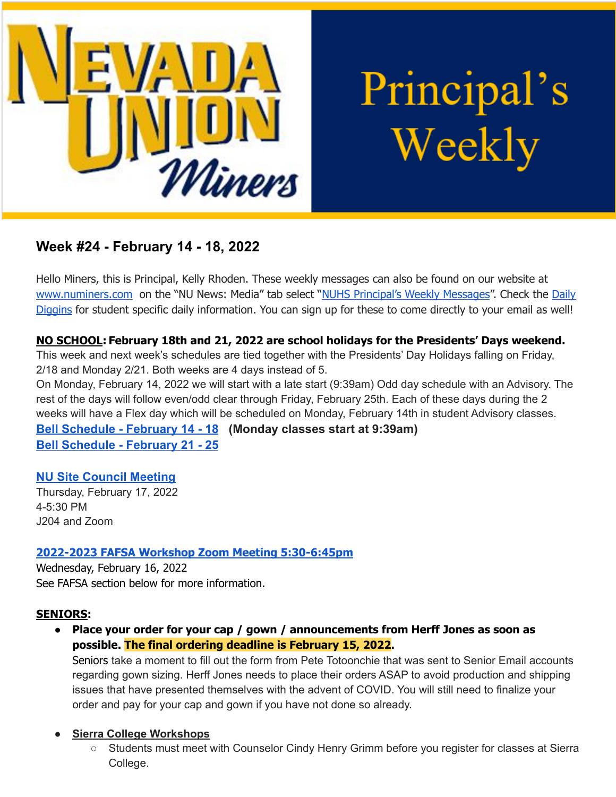

Principal's Weekly

# **Week #24 - February 14 - 18, 2022**

Hello Miners, this is Principal, Kelly Rhoden. These weekly messages can also be found on our website at [www.numiners.com](http://www.numiners.com) on the "NU News: Media" tab select "NUHS [Principal's](https://nevadaunion.njuhsd.com/NU-NewsMedia/NUHS-Principals-Weekly-Messages/index.html) Weekly Messages". Check the [Daily](https://nevadaunion.njuhsd.com/NU-NewsMedia/Daily-Diggins-Bulletin/index.html) [Diggins](https://nevadaunion.njuhsd.com/NU-NewsMedia/Daily-Diggins-Bulletin/index.html) for student specific daily information. You can sign up for these to come directly to your email as well!

## **NO SCHOOL: February 18th and 21, 2022 are school holidays for the Presidents' Days weekend.**

This week and next week's schedules are tied together with the Presidents' Day Holidays falling on Friday, 2/18 and Monday 2/21. Both weeks are 4 days instead of 5.

On Monday, February 14, 2022 we will start with a late start (9:39am) Odd day schedule with an Advisory. The rest of the days will follow even/odd clear through Friday, February 25th. Each of these days during the 2 weeks will have a Flex day which will be scheduled on Monday, February 14th in student Advisory classes.

**[Bell Schedule - February 14 - 18](https://nevadaunion.njuhsd.com/documents/Bell%20Schedules/21.22-Presidents-Week-1-Feb-14-18.pdf) (Monday classes start at 9:39am) [Bell Schedule - February 21 - 25](https://nevadaunion.njuhsd.com/documents/Bell%20Schedules/21.22-Presidents-Week-2-Feb-21-25.pdf)**

## **[NU Site Council Meeting](https://nevadaunion.njuhsd.com/documents/Site%20Council/Site%20Council%2021.22/Agendas/NU-Site-Council-Agenda-02-17-2022.pdf)**

Thursday, February 17, 2022 4-5:30 PM J204 and Zoom

### **2022-2023 FAFSA Workshop Zoom Meeting [5:30-6:45pm](https://nevadaunion.njuhsd.com/documents/Nevada%20Union%20HS/Counseling/22-23-FAFSA-Workshop-01.2022.pdf)**

Wednesday, February 16, 2022 See FAFSA section below for more information.

### **SENIORS:**

● **Place your order for your cap / gown / announcements from Herff Jones as soon as possible. The final ordering deadline is February 15, 2022.**

Seniors take a moment to fill out the form from Pete Totoonchie that was sent to Senior Email accounts regarding gown sizing. Herff Jones needs to place their orders ASAP to avoid production and shipping issues that have presented themselves with the advent of COVID. You will still need to finalize your order and pay for your cap and gown if you have not done so already.

### **● Sierra College [Workshops](https://nevadaunion.njuhsd.com/documents/Nevada%20Union%20HS/Counseling/NUHS-Class-of-2022-Sierra-College-Workshops-01.2022.pdf)**

○ Students must meet with Counselor Cindy Henry Grimm before you register for classes at Sierra College.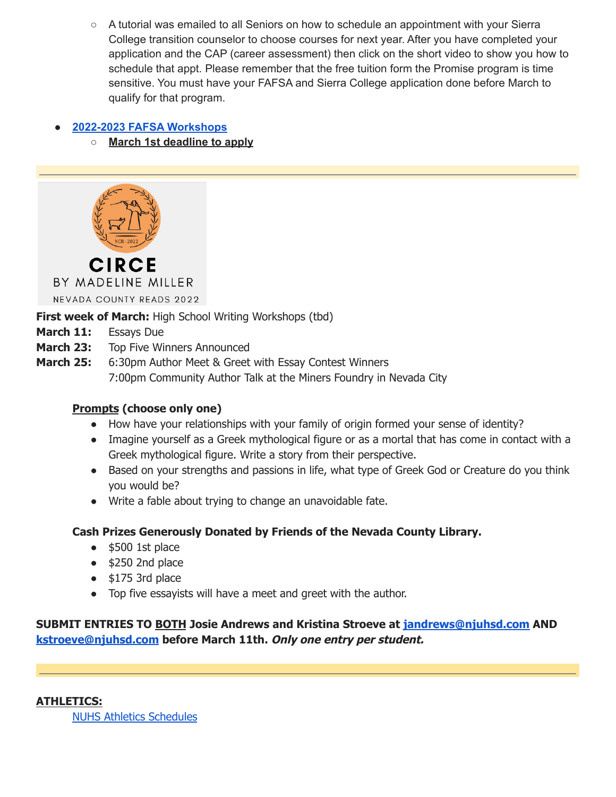○ A tutorial was emailed to all Seniors on how to schedule an appointment with your Sierra College transition counselor to choose courses for next year. After you have completed your application and the CAP (career assessment) then click on the short video to show you how to schedule that appt. Please remember that the free tuition form the Promise program is time sensitive. You must have your FAFSA and Sierra College application done before March to qualify for that program.

## **● 2022-2023 FAFSA [Workshops](https://nevadaunion.njuhsd.com/documents/Nevada%20Union%20HS/Counseling/22-23-FAFSA-Workshop-01.2022.pdf)**

**○ March 1st deadline to apply**



**First week of March:** High School Writing Workshops (tbd)

- **March 11:** Essays Due
- **March 23:** Top Five Winners Announced
- **March 25:** 6:30pm Author Meet & Greet with Essay Contest Winners 7:00pm Community Author Talk at the Miners Foundry in Nevada City

## **Prompts (choose only one)**

- How have your relationships with your family of origin formed your sense of identity?
- Imagine yourself as a Greek mythological figure or as a mortal that has come in contact with a Greek mythological figure. Write a story from their perspective.
- Based on your strengths and passions in life, what type of Greek God or Creature do you think you would be?
- Write a fable about trying to change an unavoidable fate.

## **Cash Prizes Generously Donated by Friends of the Nevada County Library.**

- \$500 1st place
- $\bullet$  \$250 2nd place
- $\bullet$  \$175 3rd place
- Top five essayists will have a meet and greet with the author.

## **SUBMIT ENTRIES TO BOTH Josie Andrews and Kristina Stroeve at [jandrews@njuhsd.com](mailto:jandrews@njuhsd.com) AND [kstroeve@njuhsd.com](mailto:kstroeve@njuhsd.com) before March 11th. Only one entry per student.**

**ATHLETICS:** NUHS Athletics [Schedules](https://nevadaunion.njuhsd.com/Athletics/Sports-Calendar--Schedules/index.html)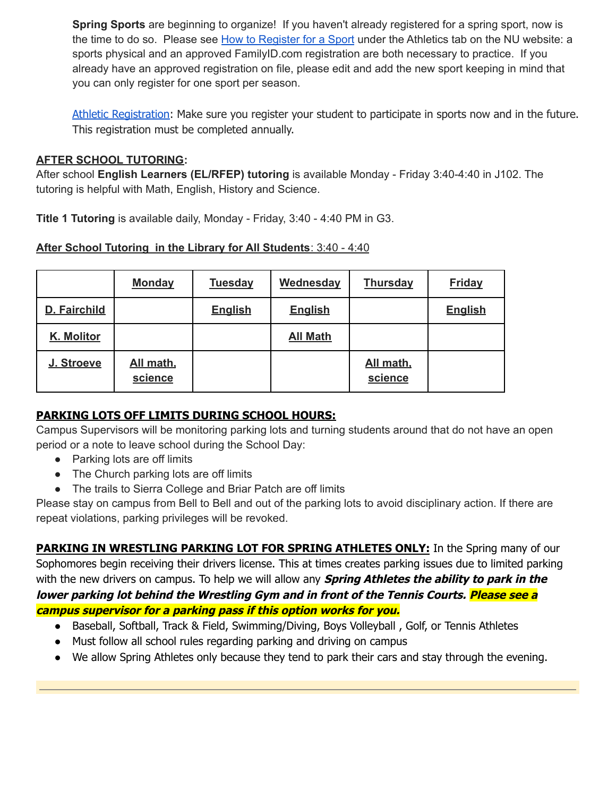**Spring Sports** are beginning to organize! If you haven't already registered for a spring sport, now is the time to do so. Please see How to [Register](https://nevadaunion.njuhsd.com/Athletics/How-to-Register-For-a-Sport/index.html) for a Sport under the Athletics tab on the NU website: a sports physical and an approved FamilyID.com registration are both necessary to practice. If you already have an approved registration on file, please edit and add the new sport keeping in mind that you can only register for one sport per season.

Athletic [Registration:](https://nevadaunion.njuhsd.com/Athletics/How-to-Register-For-a-Sport/index.html) Make sure you register your student to participate in sports now and in the future. This registration must be completed annually.

### **AFTER SCHOOL TUTORING:**

After school **English Learners (EL/RFEP) tutoring** is available Monday - Friday 3:40-4:40 in J102. The tutoring is helpful with Math, English, History and Science.

**Title 1 Tutoring** is available daily, Monday - Friday, 3:40 - 4:40 PM in G3.

|--|

|              | <b>Monday</b>        | <b>Tuesday</b> | Wednesday       | <b>Thursday</b>      | <b>Friday</b>  |
|--------------|----------------------|----------------|-----------------|----------------------|----------------|
| D. Fairchild |                      | <b>English</b> | <b>English</b>  |                      | <b>English</b> |
| K. Molitor   |                      |                | <b>All Math</b> |                      |                |
| J. Stroeve   | All math,<br>science |                |                 | All math,<br>science |                |

## **PARKING LOTS OFF LIMITS DURING SCHOOL HOURS:**

Campus Supervisors will be monitoring parking lots and turning students around that do not have an open period or a note to leave school during the School Day:

- Parking lots are off limits
- The Church parking lots are off limits
- The trails to Sierra College and Briar Patch are off limits

Please stay on campus from Bell to Bell and out of the parking lots to avoid disciplinary action. If there are repeat violations, parking privileges will be revoked.

**PARKING IN WRESTLING PARKING LOT FOR SPRING ATHLETES ONLY:** In the Spring many of our Sophomores begin receiving their drivers license. This at times creates parking issues due to limited parking with the new drivers on campus. To help we will allow any **Spring Athletes the ability to park in the lower parking lot behind the Wrestling Gym and in front of the Tennis Courts. Please see <sup>a</sup> campus supervisor for <sup>a</sup> parking pass if this option works for you.**

- Baseball, Softball, Track & Field, Swimming/Diving, Boys Volleyball, Golf, or Tennis Athletes
- Must follow all school rules regarding parking and driving on campus
- We allow Spring Athletes only because they tend to park their cars and stay through the evening.